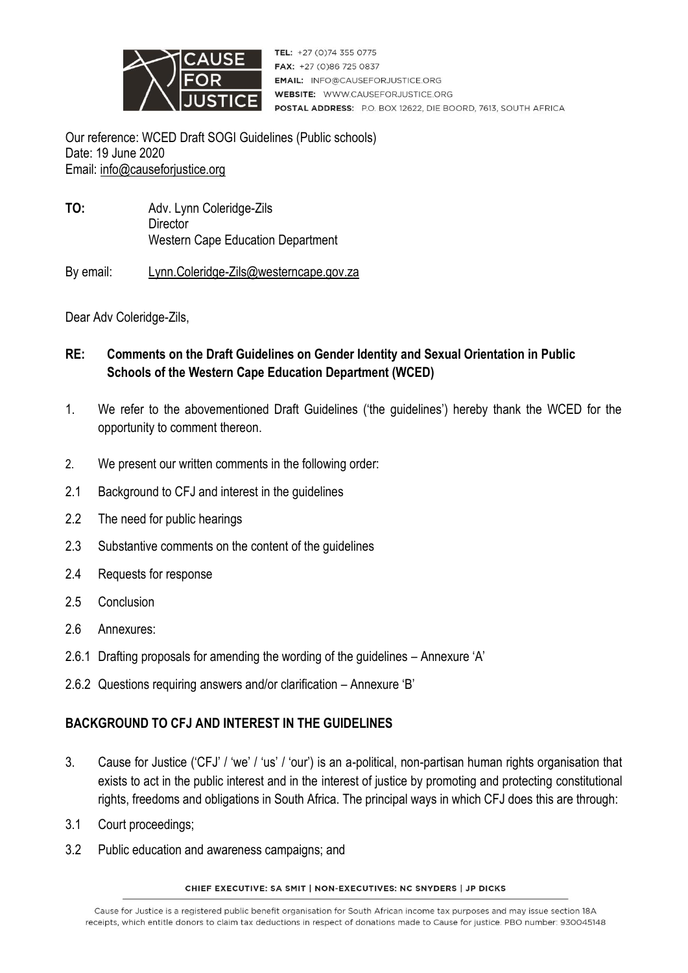

TEL: +27 (0)74 355 0775 FAX: +27 (0)86 725 0837 **EMAIL: INFO@CAUSEFORJUSTICE.ORG WEBSITE: WWW.CAUSEFORJUSTICE.ORG** POSTAL ADDRESS: P.O. BOX 12622, DIE BOORD, 7613, SOUTH AFRICA

Our reference: WCED Draft SOGI Guidelines (Public schools) Date: 19 June 2020 Email: [info@causeforjustice.org](mailto:info@causeforjustice.org)

**TO:** Adv. Lynn Coleridge-Zils **Director** Western Cape Education Department

By email: [Lynn.Coleridge-Zils@westerncape.gov.za](mailto:Lynn.Coleridge-Zils@westerncape.gov.za)

Dear Adv Coleridge-Zils,

- **RE: Comments on the Draft Guidelines on Gender Identity and Sexual Orientation in Public Schools of the Western Cape Education Department (WCED)**
- 1. We refer to the abovementioned Draft Guidelines ('the guidelines') hereby thank the WCED for the opportunity to comment thereon.
- 2. We present our written comments in the following order:
- 2.1 Background to CFJ and interest in the guidelines
- 2.2 The need for public hearings
- 2.3 Substantive comments on the content of the guidelines
- 2.4 Requests for response
- 2.5 Conclusion
- 2.6 Annexures:
- 2.6.1 Drafting proposals for amending the wording of the guidelines Annexure 'A'
- 2.6.2 Questions requiring answers and/or clarification Annexure 'B'

#### **BACKGROUND TO CFJ AND INTEREST IN THE GUIDELINES**

- 3. Cause for Justice ('CFJ' / 'we' / 'us' / 'our') is an a-political, non-partisan human rights organisation that exists to act in the public interest and in the interest of justice by promoting and protecting constitutional rights, freedoms and obligations in South Africa. The principal ways in which CFJ does this are through:
- 3.1 Court proceedings;
- 3.2 Public education and awareness campaigns; and

#### CHIEF EXECUTIVE: SA SMIT | NON-EXECUTIVES: NC SNYDERS | JP DICKS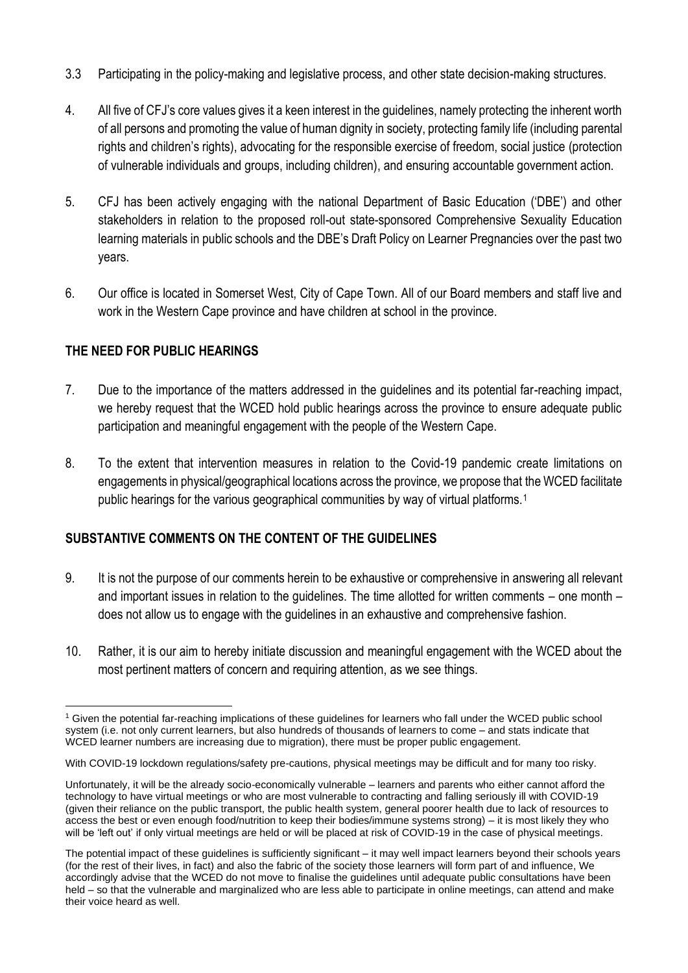- 3.3 Participating in the policy-making and legislative process, and other state decision-making structures.
- 4. All five of CFJ's core values gives it a keen interest in the guidelines, namely protecting the inherent worth of all persons and promoting the value of human dignity in society, protecting family life (including parental rights and children's rights), advocating for the responsible exercise of freedom, social justice (protection of vulnerable individuals and groups, including children), and ensuring accountable government action.
- 5. CFJ has been actively engaging with the national Department of Basic Education ('DBE') and other stakeholders in relation to the proposed roll-out state-sponsored Comprehensive Sexuality Education learning materials in public schools and the DBE's Draft Policy on Learner Pregnancies over the past two years.
- 6. Our office is located in Somerset West, City of Cape Town. All of our Board members and staff live and work in the Western Cape province and have children at school in the province.

## **THE NEED FOR PUBLIC HEARINGS**

- 7. Due to the importance of the matters addressed in the guidelines and its potential far-reaching impact, we hereby request that the WCED hold public hearings across the province to ensure adequate public participation and meaningful engagement with the people of the Western Cape.
- 8. To the extent that intervention measures in relation to the Covid-19 pandemic create limitations on engagements in physical/geographical locations across the province, we propose that the WCED facilitate public hearings for the various geographical communities by way of virtual platforms.<sup>1</sup>

## **SUBSTANTIVE COMMENTS ON THE CONTENT OF THE GUIDELINES**

- 9. It is not the purpose of our comments herein to be exhaustive or comprehensive in answering all relevant and important issues in relation to the guidelines. The time allotted for written comments – one month – does not allow us to engage with the guidelines in an exhaustive and comprehensive fashion.
- 10. Rather, it is our aim to hereby initiate discussion and meaningful engagement with the WCED about the most pertinent matters of concern and requiring attention, as we see things.

<sup>1</sup> Given the potential far-reaching implications of these guidelines for learners who fall under the WCED public school system (i.e. not only current learners, but also hundreds of thousands of learners to come – and stats indicate that WCED learner numbers are increasing due to migration), there must be proper public engagement.

With COVID-19 lockdown regulations/safety pre-cautions, physical meetings may be difficult and for many too risky.

Unfortunately, it will be the already socio-economically vulnerable – learners and parents who either cannot afford the technology to have virtual meetings or who are most vulnerable to contracting and falling seriously ill with COVID-19 (given their reliance on the public transport, the public health system, general poorer health due to lack of resources to access the best or even enough food/nutrition to keep their bodies/immune systems strong) – it is most likely they who will be 'left out' if only virtual meetings are held or will be placed at risk of COVID-19 in the case of physical meetings.

The potential impact of these guidelines is sufficiently significant – it may well impact learners beyond their schools years (for the rest of their lives, in fact) and also the fabric of the society those learners will form part of and influence, We accordingly advise that the WCED do not move to finalise the guidelines until adequate public consultations have been held – so that the vulnerable and marginalized who are less able to participate in online meetings, can attend and make their voice heard as well.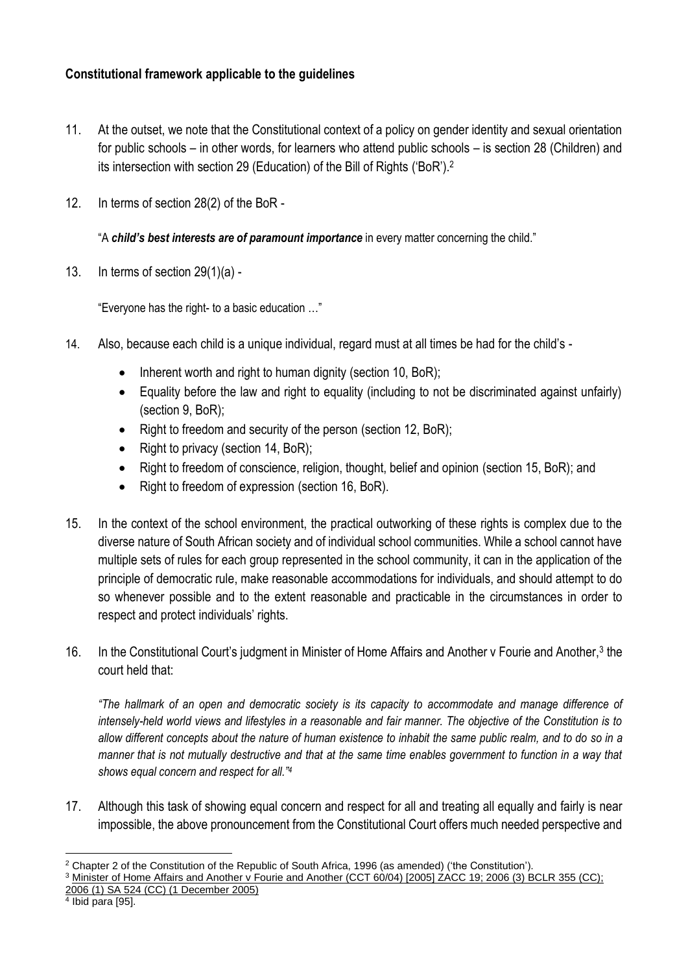# **Constitutional framework applicable to the guidelines**

- 11. At the outset, we note that the Constitutional context of a policy on gender identity and sexual orientation for public schools – in other words, for learners who attend public schools – is section 28 (Children) and its intersection with section 29 (Education) of the Bill of Rights ('BoR'). 2
- 12. In terms of section 28(2) of the BoR -

"A *child's best interests are of paramount importance* in every matter concerning the child."

13. In terms of section 29(1)(a) -

"Everyone has the right- to a basic education …"

- 14. Also, because each child is a unique individual, regard must at all times be had for the child's
	- Inherent worth and right to human dignity (section 10, BoR);
	- Equality before the law and right to equality (including to not be discriminated against unfairly) (section 9, BoR);
	- Right to freedom and security of the person (section 12, BoR);
	- Right to privacy (section 14, BoR);
	- Right to freedom of conscience, religion, thought, belief and opinion (section 15, BoR); and
	- Right to freedom of expression (section 16, BoR).
- 15. In the context of the school environment, the practical outworking of these rights is complex due to the diverse nature of South African society and of individual school communities. While a school cannot have multiple sets of rules for each group represented in the school community, it can in the application of the principle of democratic rule, make reasonable accommodations for individuals, and should attempt to do so whenever possible and to the extent reasonable and practicable in the circumstances in order to respect and protect individuals' rights.
- 16. In the Constitutional Court's judgment in Minister of Home Affairs and Another v Fourie and Another,<sup>3</sup> the court held that:

*"The hallmark of an open and democratic society is its capacity to accommodate and manage difference of intensely-held world views and lifestyles in a reasonable and fair manner. The objective of the Constitution is to allow different concepts about the nature of human existence to inhabit the same public realm, and to do so in a*  manner that is not mutually destructive and that at the same time enables government to function in a way that *shows equal concern and respect for all."<sup>4</sup>*

17. Although this task of showing equal concern and respect for all and treating all equally and fairly is near impossible, the above pronouncement from the Constitutional Court offers much needed perspective and

<sup>&</sup>lt;sup>2</sup> Chapter 2 of the Constitution of the Republic of South Africa, 1996 (as amended) ('the Constitution').

<sup>3</sup> Minister of Home Affairs and [Another](http://www.saflii.org/za/cases/ZACC/2005/19.html) v Fourie and Another (CCT 60/04) [2005] ZACC 19; 2006 (3) BCLR 355 (CC);

<sup>2006 (1)</sup> SA 524 (CC) (1 [December](http://www.saflii.org/za/cases/ZACC/2005/19.html) 2005)<br><sup>4</sup> Ibid para [95].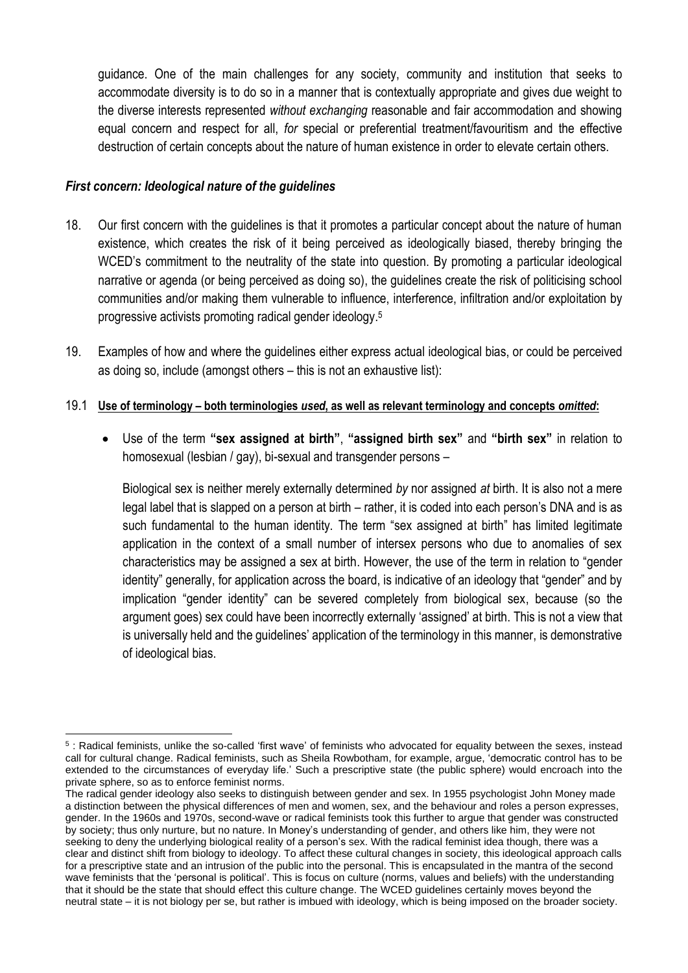guidance. One of the main challenges for any society, community and institution that seeks to accommodate diversity is to do so in a manner that is contextually appropriate and gives due weight to the diverse interests represented *without exchanging* reasonable and fair accommodation and showing equal concern and respect for all, *for* special or preferential treatment/favouritism and the effective destruction of certain concepts about the nature of human existence in order to elevate certain others.

#### *First concern: Ideological nature of the guidelines*

- 18. Our first concern with the guidelines is that it promotes a particular concept about the nature of human existence, which creates the risk of it being perceived as ideologically biased, thereby bringing the WCED's commitment to the neutrality of the state into question. By promoting a particular ideological narrative or agenda (or being perceived as doing so), the guidelines create the risk of politicising school communities and/or making them vulnerable to influence, interference, infiltration and/or exploitation by progressive activists promoting radical gender ideology. 5
- 19. Examples of how and where the guidelines either express actual ideological bias, or could be perceived as doing so, include (amongst others – this is not an exhaustive list):

#### 19.1 **Use of terminology – both terminologies** *used***, as well as relevant terminology and concepts** *omitted***:**

• Use of the term **"sex assigned at birth"**, **"assigned birth sex"** and **"birth sex"** in relation to homosexual (lesbian / gay), bi-sexual and transgender persons –

Biological sex is neither merely externally determined *by* nor assigned *at* birth. It is also not a mere legal label that is slapped on a person at birth – rather, it is coded into each person's DNA and is as such fundamental to the human identity. The term "sex assigned at birth" has limited legitimate application in the context of a small number of intersex persons who due to anomalies of sex characteristics may be assigned a sex at birth. However, the use of the term in relation to "gender identity" generally, for application across the board, is indicative of an ideology that "gender" and by implication "gender identity" can be severed completely from biological sex, because (so the argument goes) sex could have been incorrectly externally 'assigned' at birth. This is not a view that is universally held and the guidelines' application of the terminology in this manner, is demonstrative of ideological bias.

<sup>5</sup> : Radical feminists, unlike the so-called 'first wave' of feminists who advocated for equality between the sexes, instead call for cultural change. Radical feminists, such as Sheila Rowbotham, for example, argue, 'democratic control has to be extended to the circumstances of everyday life.' Such a prescriptive state (the public sphere) would encroach into the private sphere, so as to enforce feminist norms.

The radical gender ideology also seeks to distinguish between gender and sex. In 1955 psychologist John Money made a distinction between the physical differences of men and women, sex, and the behaviour and roles a person expresses, gender. In the 1960s and 1970s, second-wave or radical feminists took this further to argue that gender was constructed by society; thus only nurture, but no nature. In Money's understanding of gender, and others like him, they were not seeking to deny the underlying biological reality of a person's sex. With the radical feminist idea though, there was a clear and distinct shift from biology to ideology. To affect these cultural changes in society, this ideological approach calls for a prescriptive state and an intrusion of the public into the personal. This is encapsulated in the mantra of the second wave feminists that the 'personal is political'. This is focus on culture (norms, values and beliefs) with the understanding that it should be the state that should effect this culture change. The WCED guidelines certainly moves beyond the neutral state – it is not biology per se, but rather is imbued with ideology, which is being imposed on the broader society.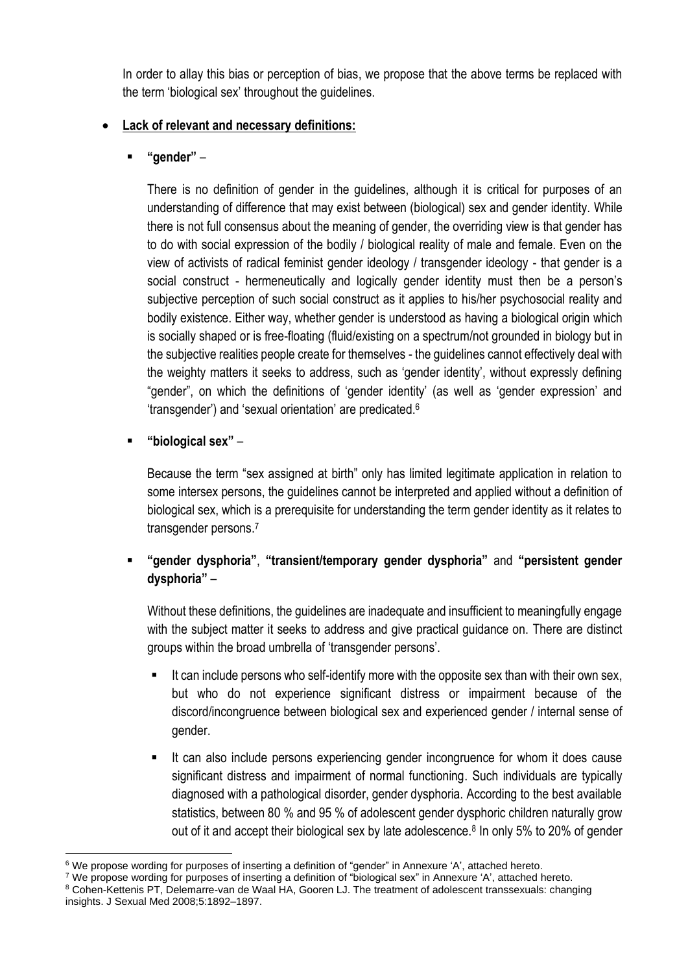In order to allay this bias or perception of bias, we propose that the above terms be replaced with the term 'biological sex' throughout the guidelines.

# • **Lack of relevant and necessary definitions:**

▪ **"gender"** –

There is no definition of gender in the guidelines, although it is critical for purposes of an understanding of difference that may exist between (biological) sex and gender identity. While there is not full consensus about the meaning of gender, the overriding view is that gender has to do with social expression of the bodily / biological reality of male and female. Even on the view of activists of radical feminist gender ideology / transgender ideology - that gender is a social construct - hermeneutically and logically gender identity must then be a person's subjective perception of such social construct as it applies to his/her psychosocial reality and bodily existence. Either way, whether gender is understood as having a biological origin which is socially shaped or is free-floating (fluid/existing on a spectrum/not grounded in biology but in the subjective realities people create for themselves - the guidelines cannot effectively deal with the weighty matters it seeks to address, such as 'gender identity', without expressly defining "gender", on which the definitions of 'gender identity' (as well as 'gender expression' and 'transgender') and 'sexual orientation' are predicated. 6

▪ **"biological sex"** –

Because the term "sex assigned at birth" only has limited legitimate application in relation to some intersex persons, the guidelines cannot be interpreted and applied without a definition of biological sex, which is a prerequisite for understanding the term gender identity as it relates to transgender persons. 7

▪ **"gender dysphoria"**, **"transient/temporary gender dysphoria"** and **"persistent gender dysphoria"** –

Without these definitions, the guidelines are inadequate and insufficient to meaningfully engage with the subject matter it seeks to address and give practical guidance on. There are distinct groups within the broad umbrella of 'transgender persons'.

- It can include persons who self-identify more with the opposite sex than with their own sex, but who do not experience significant distress or impairment because of the discord/incongruence between biological sex and experienced gender / internal sense of gender.
- It can also include persons experiencing gender incongruence for whom it does cause significant distress and impairment of normal functioning. Such individuals are typically diagnosed with a pathological disorder, gender dysphoria. According to the best available statistics, between 80 % and 95 % of adolescent gender dysphoric children naturally grow out of it and accept their biological sex by late adolescence.<sup>8</sup> In only 5% to 20% of gender

<sup>6</sup> We propose wording for purposes of inserting a definition of "gender" in Annexure 'A', attached hereto.

<sup>7</sup> We propose wording for purposes of inserting a definition of "biological sex" in Annexure 'A', attached hereto.

<sup>8</sup> Cohen-Kettenis PT, Delemarre-van de Waal HA, Gooren LJ. The treatment of adolescent transsexuals: changing insights. J Sexual Med 2008;5:1892–1897.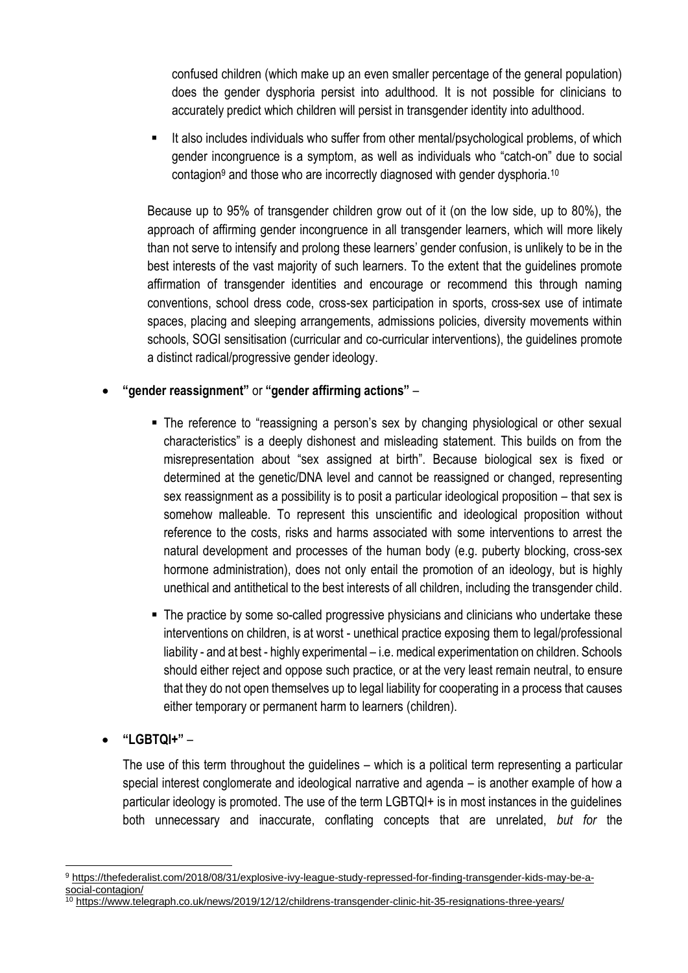confused children (which make up an even smaller percentage of the general population) does the gender dysphoria persist into adulthood. It is not possible for clinicians to accurately predict which children will persist in transgender identity into adulthood.

**■** It also includes individuals who suffer from other mental/psychological problems, of which gender incongruence is a symptom, as well as individuals who "catch-on" due to social contagion<sup>9</sup> and those who are incorrectly diagnosed with gender dysphoria.<sup>10</sup>

Because up to 95% of transgender children grow out of it (on the low side, up to 80%), the approach of affirming gender incongruence in all transgender learners, which will more likely than not serve to intensify and prolong these learners' gender confusion, is unlikely to be in the best interests of the vast majority of such learners. To the extent that the guidelines promote affirmation of transgender identities and encourage or recommend this through naming conventions, school dress code, cross-sex participation in sports, cross-sex use of intimate spaces, placing and sleeping arrangements, admissions policies, diversity movements within schools, SOGI sensitisation (curricular and co-curricular interventions), the guidelines promote a distinct radical/progressive gender ideology.

# • **"gender reassignment"** or **"gender affirming actions"** –

- The reference to "reassigning a person's sex by changing physiological or other sexual characteristics" is a deeply dishonest and misleading statement. This builds on from the misrepresentation about "sex assigned at birth". Because biological sex is fixed or determined at the genetic/DNA level and cannot be reassigned or changed, representing sex reassignment as a possibility is to posit a particular ideological proposition – that sex is somehow malleable. To represent this unscientific and ideological proposition without reference to the costs, risks and harms associated with some interventions to arrest the natural development and processes of the human body (e.g. puberty blocking, cross-sex hormone administration), does not only entail the promotion of an ideology, but is highly unethical and antithetical to the best interests of all children, including the transgender child.
- The practice by some so-called progressive physicians and clinicians who undertake these interventions on children, is at worst - unethical practice exposing them to legal/professional liability - and at best - highly experimental – i.e. medical experimentation on children. Schools should either reject and oppose such practice, or at the very least remain neutral, to ensure that they do not open themselves up to legal liability for cooperating in a process that causes either temporary or permanent harm to learners (children).
- **"LGBTQI+"** –

The use of this term throughout the guidelines – which is a political term representing a particular special interest conglomerate and ideological narrative and agenda – is another example of how a particular ideology is promoted. The use of the term LGBTQI+ is in most instances in the guidelines both unnecessary and inaccurate, conflating concepts that are unrelated, *but for* the

<sup>9</sup> [https://thefederalist.com/2018/08/31/explosive-ivy-league-study-repressed-for-finding-transgender-kids-may-be-a](https://thefederalist.com/2018/08/31/explosive-ivy-league-study-repressed-for-finding-transgender-kids-may-be-a-social-contagion/)[social-contagion/](https://thefederalist.com/2018/08/31/explosive-ivy-league-study-repressed-for-finding-transgender-kids-may-be-a-social-contagion/)

<sup>10</sup> <https://www.telegraph.co.uk/news/2019/12/12/childrens-transgender-clinic-hit-35-resignations-three-years/>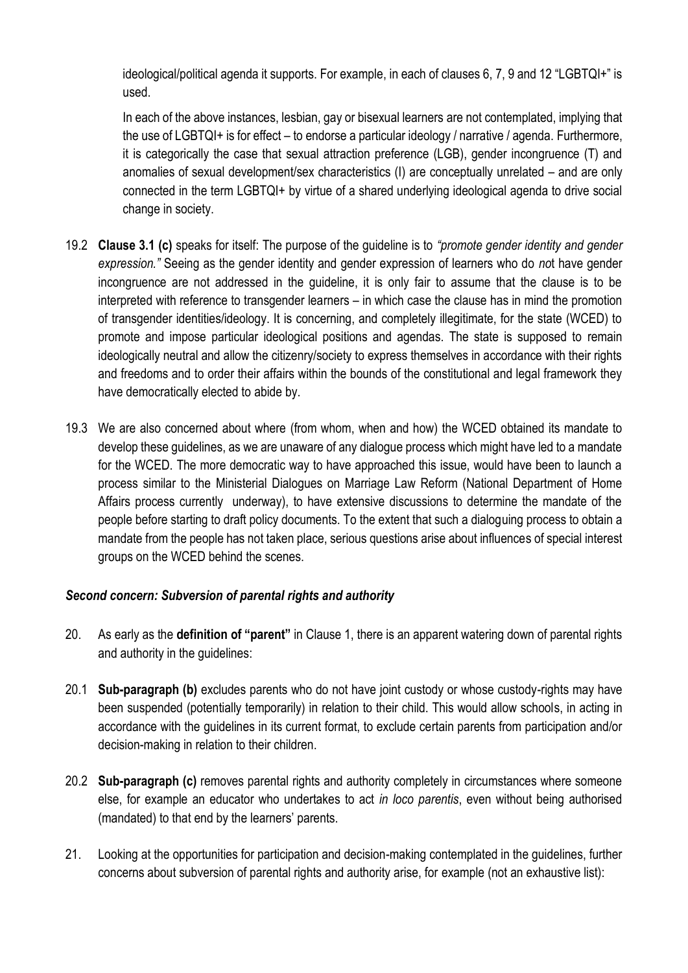ideological/political agenda it supports. For example, in each of clauses 6, 7, 9 and 12 "LGBTQI+" is used.

In each of the above instances, lesbian, gay or bisexual learners are not contemplated, implying that the use of LGBTQI+ is for effect – to endorse a particular ideology / narrative / agenda. Furthermore, it is categorically the case that sexual attraction preference (LGB), gender incongruence (T) and anomalies of sexual development/sex characteristics (I) are conceptually unrelated – and are only connected in the term LGBTQI+ by virtue of a shared underlying ideological agenda to drive social change in society.

- 19.2 **Clause 3.1 (c)** speaks for itself: The purpose of the guideline is to *"promote gender identity and gender expression."* Seeing as the gender identity and gender expression of learners who do *no*t have gender incongruence are not addressed in the guideline, it is only fair to assume that the clause is to be interpreted with reference to transgender learners – in which case the clause has in mind the promotion of transgender identities/ideology. It is concerning, and completely illegitimate, for the state (WCED) to promote and impose particular ideological positions and agendas. The state is supposed to remain ideologically neutral and allow the citizenry/society to express themselves in accordance with their rights and freedoms and to order their affairs within the bounds of the constitutional and legal framework they have democratically elected to abide by.
- 19.3 We are also concerned about where (from whom, when and how) the WCED obtained its mandate to develop these guidelines, as we are unaware of any dialogue process which might have led to a mandate for the WCED. The more democratic way to have approached this issue, would have been to launch a process similar to the Ministerial Dialogues on Marriage Law Reform (National Department of Home Affairs process currently underway), to have extensive discussions to determine the mandate of the people before starting to draft policy documents. To the extent that such a dialoguing process to obtain a mandate from the people has not taken place, serious questions arise about influences of special interest groups on the WCED behind the scenes.

## *Second concern: Subversion of parental rights and authority*

- 20. As early as the **definition of "parent"** in Clause 1, there is an apparent watering down of parental rights and authority in the guidelines:
- 20.1 **Sub-paragraph (b)** excludes parents who do not have joint custody or whose custody-rights may have been suspended (potentially temporarily) in relation to their child. This would allow schools, in acting in accordance with the guidelines in its current format, to exclude certain parents from participation and/or decision-making in relation to their children.
- 20.2 **Sub-paragraph (c)** removes parental rights and authority completely in circumstances where someone else, for example an educator who undertakes to act *in loco parentis*, even without being authorised (mandated) to that end by the learners' parents.
- 21. Looking at the opportunities for participation and decision-making contemplated in the guidelines, further concerns about subversion of parental rights and authority arise, for example (not an exhaustive list):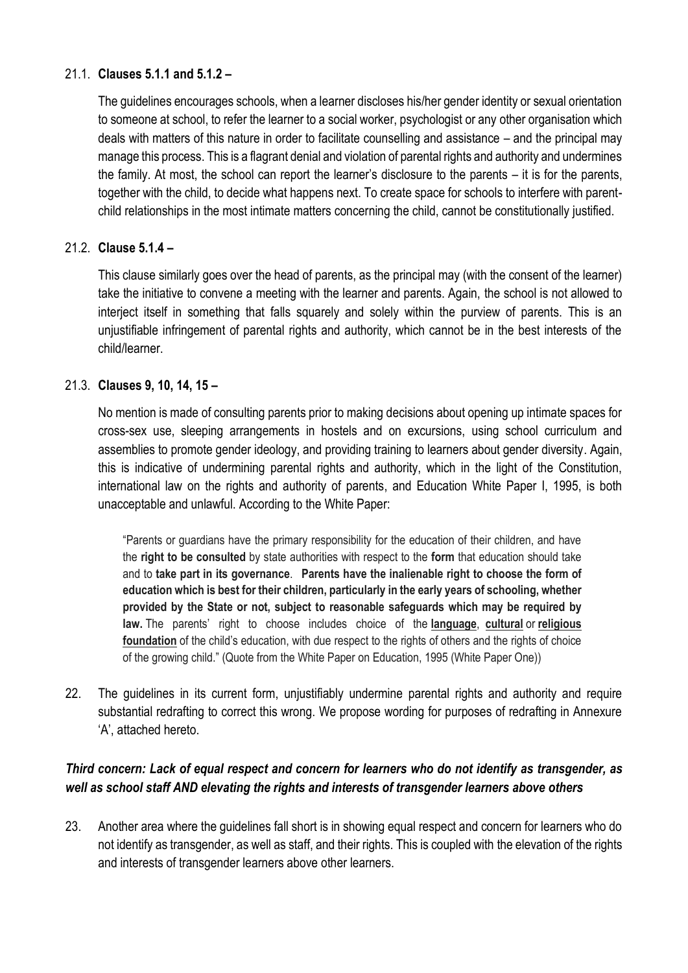## 21.1. **Clauses 5.1.1 and 5.1.2 –**

The guidelines encourages schools, when a learner discloses his/her gender identity or sexual orientation to someone at school, to refer the learner to a social worker, psychologist or any other organisation which deals with matters of this nature in order to facilitate counselling and assistance – and the principal may manage this process. This is a flagrant denial and violation of parental rights and authority and undermines the family. At most, the school can report the learner's disclosure to the parents – it is for the parents, together with the child, to decide what happens next. To create space for schools to interfere with parentchild relationships in the most intimate matters concerning the child, cannot be constitutionally justified.

## 21.2. **Clause 5.1.4 –**

This clause similarly goes over the head of parents, as the principal may (with the consent of the learner) take the initiative to convene a meeting with the learner and parents. Again, the school is not allowed to interiect itself in something that falls squarely and solely within the purview of parents. This is an unjustifiable infringement of parental rights and authority, which cannot be in the best interests of the child/learner.

## 21.3. **Clauses 9, 10, 14, 15 –**

No mention is made of consulting parents prior to making decisions about opening up intimate spaces for cross-sex use, sleeping arrangements in hostels and on excursions, using school curriculum and assemblies to promote gender ideology, and providing training to learners about gender diversity. Again, this is indicative of undermining parental rights and authority, which in the light of the Constitution, international law on the rights and authority of parents, and Education White Paper I, 1995, is both unacceptable and unlawful. According to the White Paper:

"Parents or guardians have the primary responsibility for the education of their children, and have the **right to be consulted** by state authorities with respect to the **form** that education should take and to **take part in its governance**. **Parents have the inalienable right to choose the form of education which is best for their children, particularly in the early years of schooling, whether provided by the State or not, subject to reasonable safeguards which may be required by law.** The parents' right to choose includes choice of the **language**, **cultural** or **religious foundation** of the child's education, with due respect to the rights of others and the rights of choice of the growing child." (Quote from the White Paper on Education, 1995 (White Paper One))

22. The guidelines in its current form, unjustifiably undermine parental rights and authority and require substantial redrafting to correct this wrong. We propose wording for purposes of redrafting in Annexure 'A', attached hereto.

## *Third concern: Lack of equal respect and concern for learners who do not identify as transgender, as well as school staff AND elevating the rights and interests of transgender learners above others*

23. Another area where the guidelines fall short is in showing equal respect and concern for learners who do not identify as transgender, as well as staff, and their rights. This is coupled with the elevation of the rights and interests of transgender learners above other learners.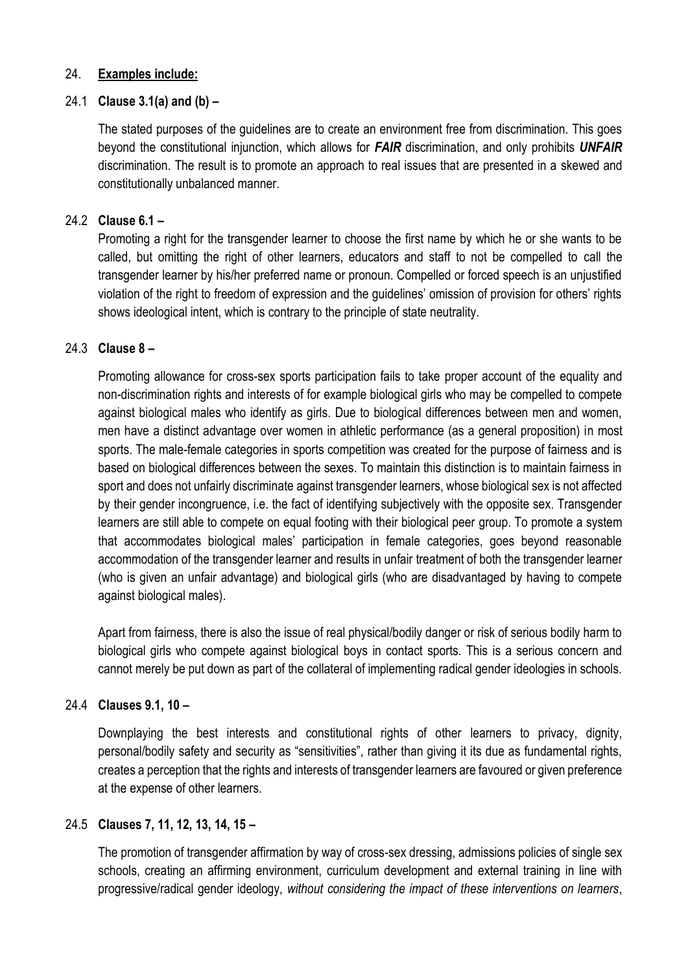#### 24. **Examples include:**

#### 24.1 **Clause 3.1(a) and (b) –**

The stated purposes of the guidelines are to create an environment free from discrimination. This goes beyond the constitutional injunction, which allows for *FAIR* discrimination, and only prohibits *UNFAIR* discrimination. The result is to promote an approach to real issues that are presented in a skewed and constitutionally unbalanced manner.

#### 24.2 **Clause 6.1 –**

Promoting a right for the transgender learner to choose the first name by which he or she wants to be called, but omitting the right of other learners, educators and staff to not be compelled to call the transgender learner by his/her preferred name or pronoun. Compelled or forced speech is an unjustified violation of the right to freedom of expression and the guidelines' omission of provision for others' rights shows ideological intent, which is contrary to the principle of state neutrality.

#### 24.3 **Clause 8 –**

Promoting allowance for cross-sex sports participation fails to take proper account of the equality and non-discrimination rights and interests of for example biological girls who may be compelled to compete against biological males who identify as girls. Due to biological differences between men and women, men have a distinct advantage over women in athletic performance (as a general proposition) in most sports. The male-female categories in sports competition was created for the purpose of fairness and is based on biological differences between the sexes. To maintain this distinction is to maintain fairness in sport and does not unfairly discriminate against transgender learners, whose biological sex is not affected by their gender incongruence, i.e. the fact of identifying subjectively with the opposite sex. Transgender learners are still able to compete on equal footing with their biological peer group. To promote a system that accommodates biological males' participation in female categories, goes beyond reasonable accommodation of the transgender learner and results in unfair treatment of both the transgender learner (who is given an unfair advantage) and biological girls (who are disadvantaged by having to compete against biological males).

Apart from fairness, there is also the issue of real physical/bodily danger or risk of serious bodily harm to biological girls who compete against biological boys in contact sports. This is a serious concern and cannot merely be put down as part of the collateral of implementing radical gender ideologies in schools.

#### 24.4 **Clauses 9.1, 10 –**

Downplaying the best interests and constitutional rights of other learners to privacy, dignity, personal/bodily safety and security as "sensitivities", rather than giving it its due as fundamental rights, creates a perception that the rights and interests of transgender learners are favoured or given preference at the expense of other learners.

#### 24.5 **Clauses 7, 11, 12, 13, 14, 15 –**

The promotion of transgender affirmation by way of cross-sex dressing, admissions policies of single sex schools, creating an affirming environment, curriculum development and external training in line with progressive/radical gender ideology, *without considering the impact of these interventions on learners*,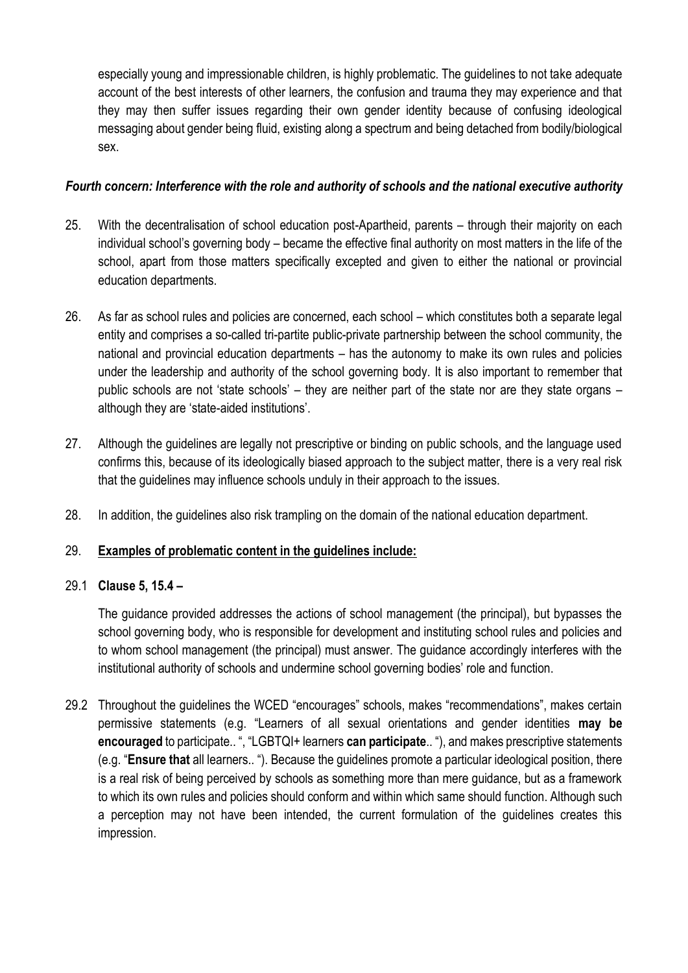especially young and impressionable children, is highly problematic. The guidelines to not take adequate account of the best interests of other learners, the confusion and trauma they may experience and that they may then suffer issues regarding their own gender identity because of confusing ideological messaging about gender being fluid, existing along a spectrum and being detached from bodily/biological sex.

## *Fourth concern: Interference with the role and authority of schools and the national executive authority*

- 25. With the decentralisation of school education post-Apartheid, parents through their majority on each individual school's governing body – became the effective final authority on most matters in the life of the school, apart from those matters specifically excepted and given to either the national or provincial education departments.
- 26. As far as school rules and policies are concerned, each school which constitutes both a separate legal entity and comprises a so-called tri-partite public-private partnership between the school community, the national and provincial education departments – has the autonomy to make its own rules and policies under the leadership and authority of the school governing body. It is also important to remember that public schools are not 'state schools' – they are neither part of the state nor are they state organs – although they are 'state-aided institutions'.
- 27. Although the guidelines are legally not prescriptive or binding on public schools, and the language used confirms this, because of its ideologically biased approach to the subject matter, there is a very real risk that the guidelines may influence schools unduly in their approach to the issues.
- 28. In addition, the guidelines also risk trampling on the domain of the national education department.

## 29. **Examples of problematic content in the guidelines include:**

## 29.1 **Clause 5, 15.4 –**

The guidance provided addresses the actions of school management (the principal), but bypasses the school governing body, who is responsible for development and instituting school rules and policies and to whom school management (the principal) must answer. The guidance accordingly interferes with the institutional authority of schools and undermine school governing bodies' role and function.

29.2 Throughout the guidelines the WCED "encourages" schools, makes "recommendations", makes certain permissive statements (e.g. "Learners of all sexual orientations and gender identities **may be encouraged** to participate.. ", "LGBTQI+ learners **can participate**.. "), and makes prescriptive statements (e.g. "**Ensure that** all learners.. "). Because the guidelines promote a particular ideological position, there is a real risk of being perceived by schools as something more than mere guidance, but as a framework to which its own rules and policies should conform and within which same should function. Although such a perception may not have been intended, the current formulation of the guidelines creates this impression.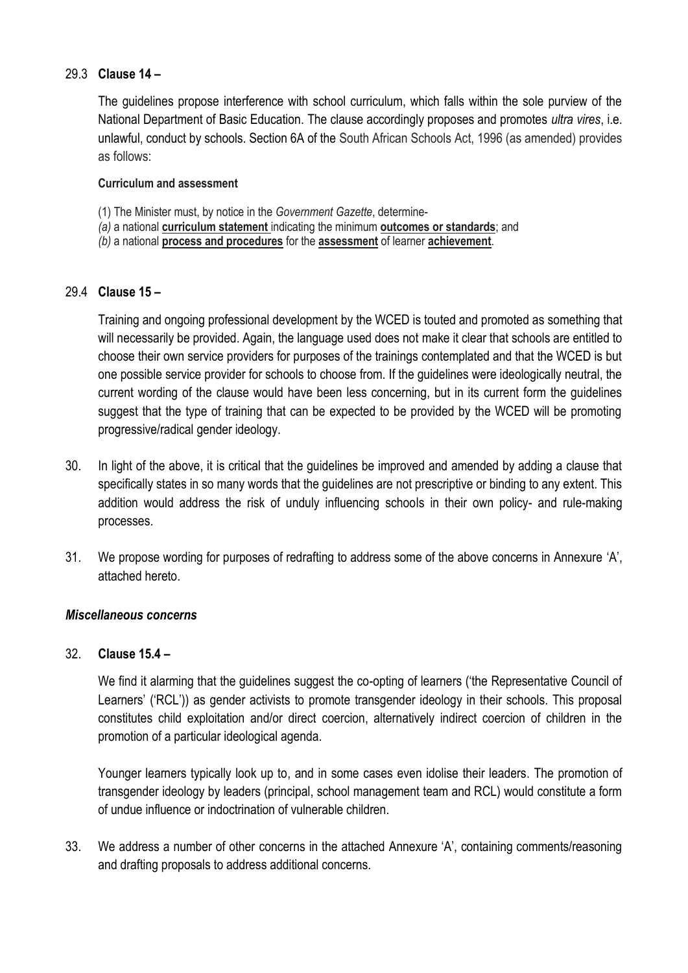#### 29.3 **Clause 14 –**

The guidelines propose interference with school curriculum, which falls within the sole purview of the National Department of Basic Education. The clause accordingly proposes and promotes *ultra vires*, i.e. unlawful, conduct by schools. Section 6A of the South African Schools Act, 1996 (as amended) provides as follows:

#### **Curriculum and assessment**

- (1) The Minister must, by notice in the *Government Gazette*, determine-
- *(a)* a national **curriculum statement** indicating the minimum **outcomes or standards**; and
- *(b)* a national **process and procedures** for the **assessment** of learner **achievement**.

## 29.4 **Clause 15 –**

Training and ongoing professional development by the WCED is touted and promoted as something that will necessarily be provided. Again, the language used does not make it clear that schools are entitled to choose their own service providers for purposes of the trainings contemplated and that the WCED is but one possible service provider for schools to choose from. If the guidelines were ideologically neutral, the current wording of the clause would have been less concerning, but in its current form the guidelines suggest that the type of training that can be expected to be provided by the WCED will be promoting progressive/radical gender ideology.

- 30. In light of the above, it is critical that the guidelines be improved and amended by adding a clause that specifically states in so many words that the guidelines are not prescriptive or binding to any extent. This addition would address the risk of unduly influencing schools in their own policy- and rule-making processes.
- 31. We propose wording for purposes of redrafting to address some of the above concerns in Annexure 'A', attached hereto.

#### *Miscellaneous concerns*

#### 32. **Clause 15.4 –**

We find it alarming that the guidelines suggest the co-opting of learners ('the Representative Council of Learners' ('RCL')) as gender activists to promote transgender ideology in their schools. This proposal constitutes child exploitation and/or direct coercion, alternatively indirect coercion of children in the promotion of a particular ideological agenda.

Younger learners typically look up to, and in some cases even idolise their leaders. The promotion of transgender ideology by leaders (principal, school management team and RCL) would constitute a form of undue influence or indoctrination of vulnerable children.

33. We address a number of other concerns in the attached Annexure 'A', containing comments/reasoning and drafting proposals to address additional concerns.